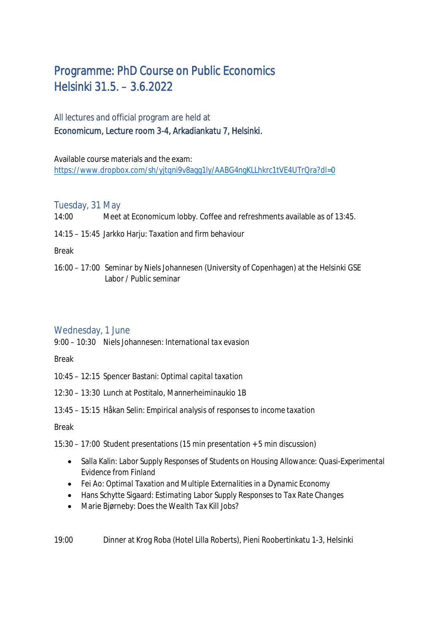# Programme: PhD Course on Public Economics Helsinki 31.5. – 3.6.2022

## All lectures and official program are held at Economicum, Lecture room 3-4, Arkadiankatu 7, Helsinki.

Available course materials and the exam: https://www.dropbox.com/sh/yjtqni9v8agg1ly/AABG4ngKLLhkrc1tVE4UTrQra?dl=0

### Tuesday, 31 May

- 14:00 Meet at Economicum lobby. Coffee and refreshments available as of 13:45.
- 14:15 15:45 Jarkko Harju: *Taxation and firm behaviour*

Break

16:00 – 17:00 *Seminar* by Niels Johannesen (University of Copenhagen) at the Helsinki GSE Labor / Public seminar

#### Wednesday, 1 June

9:00 – 10:30 Niels Johannesen: *International tax evasion*

Break

- 10:45 12:15 Spencer Bastani: *Optimal capital taxation*
- 12:30 13:30 Lunch at Postitalo, Mannerheiminaukio 1B
- 13:45 15:15 Håkan Selin: *Empirical analysis of responses to income taxation*

Break

15:30 – 17:00 Student presentations (15 min presentation + 5 min discussion)

- Salla Kalin: *Labor Supply Responses of Students on Housing Allowance: Quasi-Experimental Evidence from Finland*
- Fei Ao: *Optimal Taxation and Multiple Externalities in a Dynamic Economy*
- Hans Schytte Sigaard: *Estimating Labor Supply Responses to Tax Rate Changes*
- Marie Bjørneby: *Does the Wealth Tax Kill Jobs?*

19:00 Dinner at Krog Roba (Hotel Lilla Roberts), Pieni Roobertinkatu 1-3, Helsinki